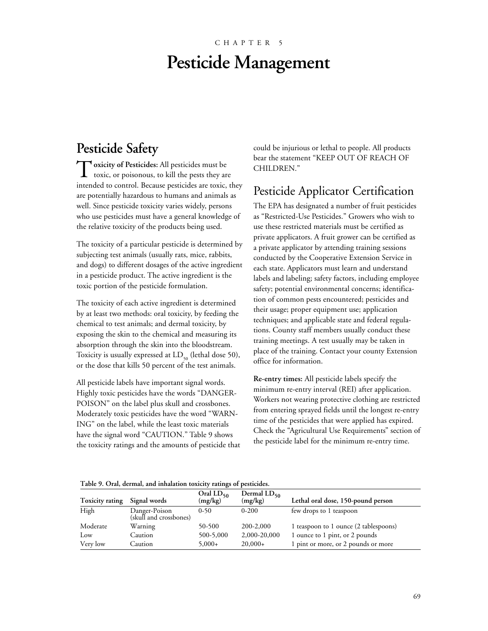# CHAPTER 5 **Pesticide Management**

# **Pesticide Safety**

Toxicity of Pesticides: All pesticides must be<br>toxic, or poisonaus to kill the posts that toxic, or poisonous, to kill the pests they are intended to control. Because pesticides are toxic, they are potentially hazardous to humans and animals as well. Since pesticide toxicity varies widely, persons who use pesticides must have a general knowledge of the relative toxicity of the products being used.

The toxicity of a particular pesticide is determined by subjecting test animals (usually rats, mice, rabbits, and dogs) to different dosages of the active ingredient in a pesticide product. The active ingredient is the toxic portion of the pesticide formulation.

The toxicity of each active ingredient is determined by at least two methods: oral toxicity, by feeding the chemical to test animals; and dermal toxicity, by exposing the skin to the chemical and measuring its absorption through the skin into the bloodstream. Toxicity is usually expressed at  $LD_{50}$  (lethal dose 50), or the dose that kills 50 percent of the test animals.

All pesticide labels have important signal words. Highly toxic pesticides have the words "DANGER-POISON" on the label plus skull and crossbones. Moderately toxic pesticides have the word "WARN-ING" on the label, while the least toxic materials have the signal word "CAUTION." Table 9 shows the toxicity ratings and the amounts of pesticide that could be injurious or lethal to people. All products bear the statement "KEEP OUT OF REACH OF CHILDREN."

# Pesticide Applicator Certification

The EPA has designated a number of fruit pesticides as "Restricted-Use Pesticides." Growers who wish to use these restricted materials must be certified as private applicators. A fruit grower can be certified as a private applicator by attending training sessions conducted by the Cooperative Extension Service in each state. Applicators must learn and understand labels and labeling; safety factors, including employee safety; potential environmental concerns; identification of common pests encountered; pesticides and their usage; proper equipment use; application techniques; and applicable state and federal regulations. County staff members usually conduct these training meetings. A test usually may be taken in place of the training. Contact your county Extension office for information.

**Re-entry times:** All pesticide labels specify the minimum re-entry interval (REI) after application. Workers not wearing protective clothing are restricted from entering sprayed fields until the longest re-entry time of the pesticides that were applied has expired. Check the "Agricultural Use Requirements" section of the pesticide label for the minimum re-entry time.

### **Table 9. Oral, dermal, and inhalation toxicity ratings of pesticides.**

| Toxicity rating | Signal words                            | Oral $LD_{50}$<br>(mg/kg) | Dermal $LD_{50}$<br>(mg/kg) | Lethal oral dose, 150-pound person    |
|-----------------|-----------------------------------------|---------------------------|-----------------------------|---------------------------------------|
| High            | Danger-Poison<br>(skull and crossbones) | $0 - 50$                  | $0 - 200$                   | few drops to 1 teaspoon               |
| Moderate        | Warning                                 | 50-500                    | 200-2,000                   | 1 teaspoon to 1 ounce (2 tablespoons) |
| Low             | Caution                                 | 500-5,000                 | 2,000-20,000                | 1 ounce to 1 pint, or 2 pounds        |
| Very low        | Caution                                 | $5,000+$                  | $20,000+$                   | 1 pint or more, or 2 pounds or more   |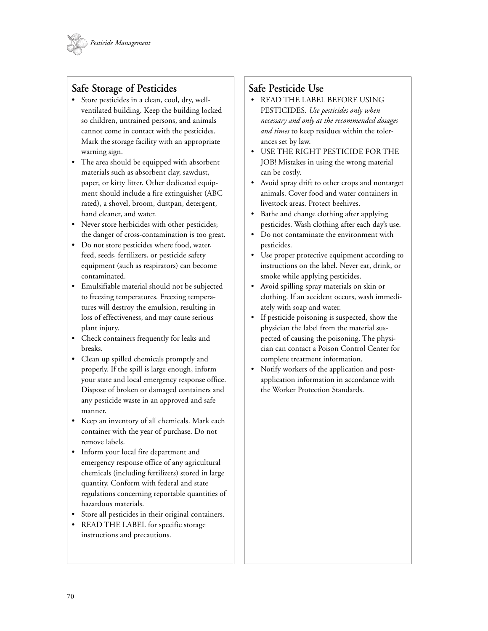

## **Safe Storage of Pesticides**

- Store pesticides in a clean, cool, dry, wellventilated building. Keep the building locked so children, untrained persons, and animals cannot come in contact with the pesticides. Mark the storage facility with an appropriate warning sign.
- The area should be equipped with absorbent materials such as absorbent clay, sawdust, paper, or kitty litter. Other dedicated equipment should include a fire extinguisher (ABC rated), a shovel, broom, dustpan, detergent, hand cleaner, and water.
- Never store herbicides with other pesticides; the danger of cross-contamination is too great.
- Do not store pesticides where food, water, feed, seeds, fertilizers, or pesticide safety equipment (such as respirators) can become contaminated.
- Emulsifiable material should not be subjected to freezing temperatures. Freezing temperatures will destroy the emulsion, resulting in loss of effectiveness, and may cause serious plant injury.
- Check containers frequently for leaks and breaks.
- Clean up spilled chemicals promptly and properly. If the spill is large enough, inform your state and local emergency response office. Dispose of broken or damaged containers and any pesticide waste in an approved and safe manner.
- Keep an inventory of all chemicals. Mark each container with the year of purchase. Do not remove labels.
- Inform your local fire department and emergency response office of any agricultural chemicals (including fertilizers) stored in large quantity. Conform with federal and state regulations concerning reportable quantities of hazardous materials.
- Store all pesticides in their original containers.
- READ THE LABEL for specific storage instructions and precautions.

## **Safe Pesticide Use**

- READ THE LABEL BEFORE USING PESTICIDES. *Use pesticides only when necessary and only at the recommended dosages and times* to keep residues within the tolerances set by law.
- USE THE RIGHT PESTICIDE FOR THE JOB! Mistakes in using the wrong material can be costly.
- Avoid spray drift to other crops and nontarget animals. Cover food and water containers in livestock areas. Protect beehives.
- Bathe and change clothing after applying pesticides. Wash clothing after each day's use.
- Do not contaminate the environment with pesticides.
- Use proper protective equipment according to instructions on the label. Never eat, drink, or smoke while applying pesticides.
- Avoid spilling spray materials on skin or clothing. If an accident occurs, wash immediately with soap and water.
- If pesticide poisoning is suspected, show the physician the label from the material suspected of causing the poisoning. The physician can contact a Poison Control Center for complete treatment information.
- Notify workers of the application and postapplication information in accordance with the Worker Protection Standards.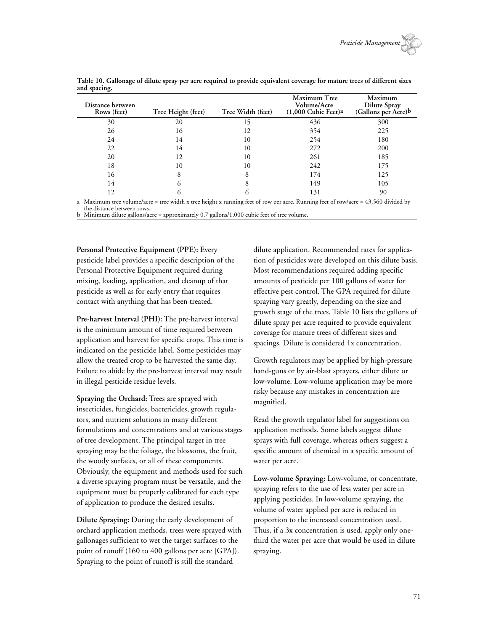| Distance between<br>Rows (feet) | Tree Height (feet) | Tree Width (feet) | Maximum Tree<br>Volume/Acre<br>$(1,000$ Cubic Feet)a | Maximum<br><b>Dilute Spray</b><br>(Gallons per Acre)b |
|---------------------------------|--------------------|-------------------|------------------------------------------------------|-------------------------------------------------------|
| 30                              | 20                 | 15                | 436                                                  | 300                                                   |
| 26                              | 16                 | 12                | 354                                                  | 225                                                   |
| 24                              | 14                 | 10                | 254                                                  | 180                                                   |
| 22                              | 14                 | 10                | 272                                                  | 200                                                   |
| 20                              | 12                 | 10                | 261                                                  | 185                                                   |
| 18                              | 10                 | 10                | 242                                                  | 175                                                   |
| 16                              | 8                  | 8                 | 174                                                  | 125                                                   |
| 14                              | o                  |                   | 149                                                  | 105                                                   |
| 12                              | O)                 | $\sim$            | 131                                                  | 90                                                    |

**Table 10. Gallonage of dilute spray per acre required to provide equivalent coverage for mature trees of different sizes and spacing.**

a Maximum tree volume/acre = tree width x tree height x running feet of row per acre. Running feet of row/acre = 43,560 divided by the distance between rows.

b Minimum dilute gallons/acre = approximately 0.7 gallons/1,000 cubic feet of tree volume.

**Personal Protective Equipment (PPE):** Every pesticide label provides a specific description of the Personal Protective Equipment required during mixing, loading, application, and cleanup of that pesticide as well as for early entry that requires contact with anything that has been treated.

**Pre-harvest Interval (PHI):** The pre-harvest interval is the minimum amount of time required between application and harvest for specific crops. This time is indicated on the pesticide label. Some pesticides may allow the treated crop to be harvested the same day. Failure to abide by the pre-harvest interval may result in illegal pesticide residue levels.

**Spraying the Orchard:** Trees are sprayed with insecticides, fungicides, bactericides, growth regulators, and nutrient solutions in many different formulations and concentrations and at various stages of tree development. The principal target in tree spraying may be the foliage, the blossoms, the fruit, the woody surfaces, or all of these components. Obviously, the equipment and methods used for such a diverse spraying program must be versatile, and the equipment must be properly calibrated for each type of application to produce the desired results.

**Dilute Spraying:** During the early development of orchard application methods, trees were sprayed with gallonages sufficient to wet the target surfaces to the point of runoff (160 to 400 gallons per acre [GPA]). Spraying to the point of runoff is still the standard

dilute application. Recommended rates for application of pesticides were developed on this dilute basis. Most recommendations required adding specific amounts of pesticide per 100 gallons of water for effective pest control. The GPA required for dilute spraying vary greatly, depending on the size and growth stage of the trees. Table 10 lists the gallons of dilute spray per acre required to provide equivalent coverage for mature trees of different sizes and spacings. Dilute is considered 1x concentration.

Growth regulators may be applied by high-pressure hand-guns or by air-blast sprayers, either dilute or low-volume. Low-volume application may be more risky because any mistakes in concentration are magnified.

Read the growth regulator label for suggestions on application methods. Some labels suggest dilute sprays with full coverage, whereas others suggest a specific amount of chemical in a specific amount of water per acre.

**Low-volume Spraying:** Low-volume, or concentrate, spraying refers to the use of less water per acre in applying pesticides. In low-volume spraying, the volume of water applied per acre is reduced in proportion to the increased concentration used. Thus, if a 3x concentration is used, apply only onethird the water per acre that would be used in dilute spraying.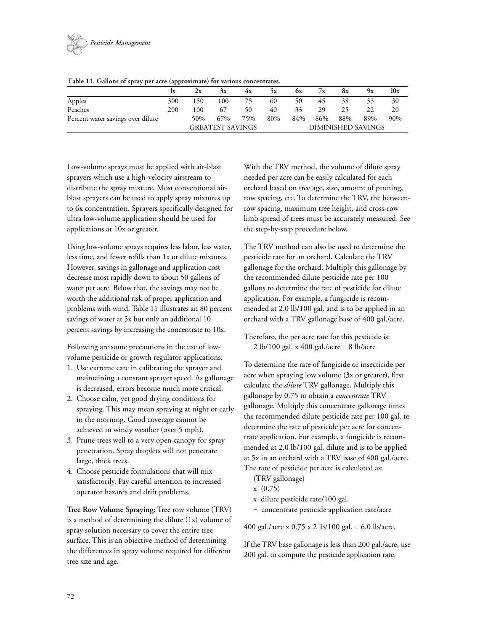

|                                   | .   |                         |     |     |     |                    |     |     |     |     |
|-----------------------------------|-----|-------------------------|-----|-----|-----|--------------------|-----|-----|-----|-----|
|                                   | lx  | 2x                      | 3x  | 4x  | Эx  | OХ                 | 7x  | 8x  | 9x  | 10x |
| Apples                            | 300 | 150                     | 100 |     | 60  | 50                 | 45  | 38  | 33  | 30  |
| Peaches                           | 200 | 100                     | 67  | 50  | 40  | 33                 | 29  | 25  | 22  | 20  |
| Percent water savings over dilute |     | 50%                     | 67% | 75% | 80% | 84%                | 86% | 88% | 89% | 90% |
|                                   |     | <b>GREATEST SAVINGS</b> |     |     |     | DIMINISHED SAVINGS |     |     |     |     |

Low-volume sprays must be applied with air-blast sprayers which use a high-velocity airstream to distribute the spray mixture. Most conventional airblast sprayers can be used to apply spray mixtures up to 6x concentration. Sprayers specifically designed for ultra low-volume application should be used for applications at 10x or greater.

Using low-volume sprays requires less labor, less water, less time, and fewer refills than 1x or dilute mixtures. However, savings in gallonage and application cost decrease most rapidly down to about 50 gallons of water per acre. Below that, the savings may not be worth the additional risk of proper application and problems with wind. Table 11 illustrates an 80 percent savings of water at 5x but only an additional 10 percent savings by increasing the concentrate to 10x.

Following are some precautions in the use of lowvolume pesticide or growth regulator applications:

- 1. Use extreme care in calibrating the sprayer and maintaining a constant sprayer speed. As gallonage is decreased, errors become much more critical.
- 2. Choose calm, yet good drying conditions for spraying. This may mean spraying at night or early in the morning. Good coverage cannot be achieved in windy weather (over 5 mph).
- 3. Prune trees well to a very open canopy for spray penetration. Spray droplets will not penetrate large, thick trees.
- 4. Choose pesticide formulations that will mix satisfactorily. Pay careful attention to increased operator hazards and drift problems.

**Tree Row Volume Spraying:** Tree row volume (TRV) is a method of determining the dilute (1x) volume of spray solution necessary to cover the entire tree surface. This is an objective method of determining the differences in spray volume required for different tree size and age.

With the TRV method, the volume of dilute spray needed per acre can be easily calculated for each orchard based on tree age, size, amount of pruning, row spacing, etc. To determine the TRV, the betweenrow spacing, maximum tree height, and cross-row limb spread of trees must be accurately measured. See the step-by-step procedure below.

The TRV method can also be used to determine the pesticide rate for an orchard. Calculate the TRV gallonage for the orchard. Multiply this gallonage by the recommended dilute pesticide rate per 100 gallons to determine the rate of pesticide for dilute application. For example, a fungicide is recommended at 2.0 lb/100 gal. and is to be applied in an orchard with a TRV gallonage base of 400 gal./acre.

Therefore, the per acre rate for this pesticide is: 2 lb/100 gal. x 400 gal./acre = 8 lb/acre

To determine the rate of fungicide or insecticide per acre when spraying low volume (3x or greater), first calculate the *dilute* TRV gallonage. Multiply this gallonage by 0.75 to obtain a *concentrate* TRV gallonage. Multiply this concentrate gallonage times the recommended dilute pesticide rate per 100 gal. to determine the rate of pesticide per acre for concentrate application. For example, a fungicide is recommended at 2.0 lb/100 gal. dilute and is to be applied at 5x in an orchard with a TRV base of 400 gal./acre. The rate of pesticide per acre is calculated as:

(TRV gallonage)

- x (0.75)
- x dilute pesticide rate/100 gal.
- = concentrate pesticide application rate/acre

400 gal./acre x 0.75 x 2 lb/100 gal. = 6.0 lb/acre.

If the TRV base gallonage is less than 200 gal./acre, use 200 gal. to compute the pesticide application rate.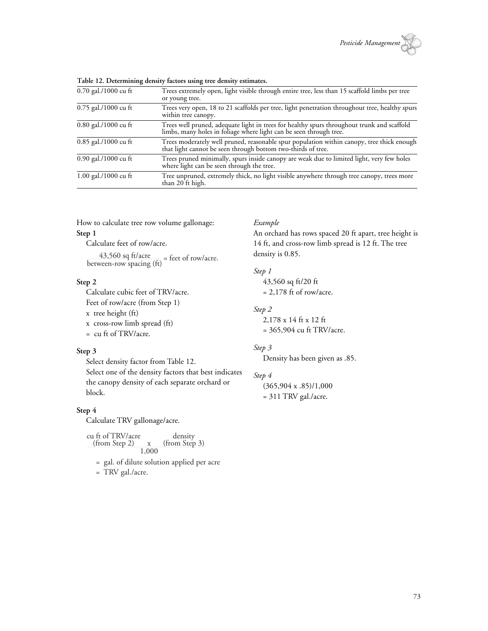

| $0.70$ gal./1000 cu ft | Trees extremely open, light visible through entire tree, less than 15 scaffold limbs per tree<br>or young tree.                                               |
|------------------------|---------------------------------------------------------------------------------------------------------------------------------------------------------------|
| 0.75 gal./1000 cu ft   | Trees very open, 18 to 21 scaffolds per tree, light penetration throughout tree, healthy spurs<br>within tree canopy.                                         |
| 0.80 gal./1000 cu ft   | Trees well pruned, adequate light in trees for healthy spurs throughout trunk and scaffold limbs, many holes in foliage where light can be seen through tree. |
| $0.85$ gal./1000 cu ft | Trees moderately well pruned, reasonable spur population within canopy, tree thick enough<br>that light cannot be seen through bottom two-thirds of tree.     |
| $0.90$ gal./1000 cu ft | Trees pruned minimally, spurs inside canopy are weak due to limited light, very few holes<br>where light can be seen through the tree.                        |
| 1.00 gal./1000 cu ft   | Tree unpruned, extremely thick, no light visible anywhere through tree canopy, trees more<br>than 20 ft high.                                                 |

**Table 12. Determining density factors using tree density estimates.**

How to calculate tree row volume gallonage: **Step 1**

Calculate feet of row/acre.

 $\frac{43,560 \text{ sq ft/acre}}{\text{between-row spacing (ft)}} = \text{feet of row/acre.}$ 

### **Step 2**

Calculate cubic feet of TRV/acre. Feet of row/acre (from Step 1) x tree height (ft) x cross-row limb spread (ft) = cu ft of TRV/acre.

### **Step 3**

Select density factor from Table 12.

Select one of the density factors that best indicates the canopy density of each separate orchard or block.

### **Step 4**

Calculate TRV gallonage/acre.

$$
\begin{array}{c}\n\text{cu ft of TRV/acre} & \text{density} \\
\hline\n\text{(from Step 2)} & x & \text{(from Step 3)} \\
\hline\n1,000 & & \text{if } x \neq 3\n\end{array}
$$

= gal. of dilute solution applied per acre

$$
=
$$
 TRV gal./acre.

### *Example*

An orchard has rows spaced 20 ft apart, tree height is 14 ft, and cross-row limb spread is 12 ft. The tree density is 0.85.

### *Step 1*

43,560 sq ft/20 ft  $= 2,178$  ft of row/acre.

### *Step 2*

2,178 x 14 ft x 12 ft = 365,904 cu ft TRV/acre.

### *Step 3*

Density has been given as .85.

#### *Step 4*

(365,904 x .85)/1,000 = 311 TRV gal./acre.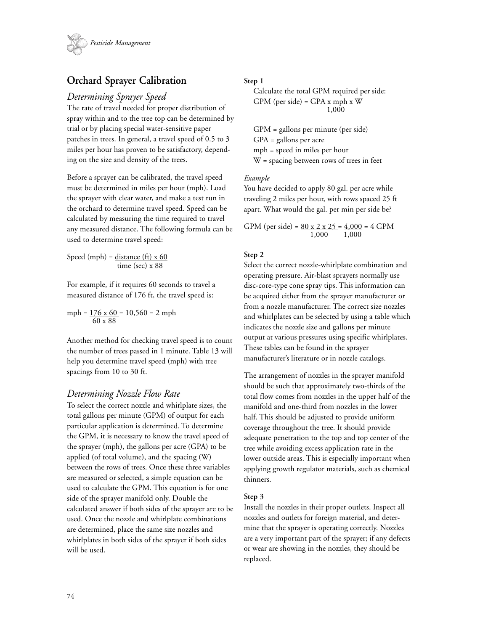

# **Orchard Sprayer Calibration**

### *Determining Sprayer Speed*

The rate of travel needed for proper distribution of spray within and to the tree top can be determined by trial or by placing special water-sensitive paper patches in trees. In general, a travel speed of 0.5 to 3 miles per hour has proven to be satisfactory, depending on the size and density of the trees.

Before a sprayer can be calibrated, the travel speed must be determined in miles per hour (mph). Load the sprayer with clear water, and make a test run in the orchard to determine travel speed. Speed can be calculated by measuring the time required to travel any measured distance. The following formula can be used to determine travel speed:

Speed (mph) =  $distance (ft) \times 60$ time (sec) x 88

For example, if it requires 60 seconds to travel a measured distance of 176 ft, the travel speed is:

 $mph = 176 \times 60 = 10,560 = 2 mph$ 60 x 88

Another method for checking travel speed is to count the number of trees passed in 1 minute. Table 13 will help you determine travel speed (mph) with tree spacings from 10 to 30 ft.

### *Determining Nozzle Flow Rate*

To select the correct nozzle and whirlplate sizes, the total gallons per minute (GPM) of output for each particular application is determined. To determine the GPM, it is necessary to know the travel speed of the sprayer (mph), the gallons per acre (GPA) to be applied (of total volume), and the spacing (W) between the rows of trees. Once these three variables are measured or selected, a simple equation can be used to calculate the GPM. This equation is for one side of the sprayer manifold only. Double the calculated answer if both sides of the sprayer are to be used. Once the nozzle and whirlplate combinations are determined, place the same size nozzles and whirlplates in both sides of the sprayer if both sides will be used.

### **Step 1**

Calculate the total GPM required per side: GPM (per side) =  $GPA x mph x W$  $1,000$ 

GPM = gallons per minute (per side) GPA = gallons per acre mph = speed in miles per hour W = spacing between rows of trees in feet

### *Example*

You have decided to apply 80 gal. per acre while traveling 2 miles per hour, with rows spaced 25 ft apart. What would the gal. per min per side be?

GPM (per side) = 
$$
\frac{80 \times 2 \times 25}{1,000} = \frac{4,000}{1,000} = 4
$$
 GPM

### **Step 2**

Select the correct nozzle-whirlplate combination and operating pressure. Air-blast sprayers normally use disc-core-type cone spray tips. This information can be acquired either from the sprayer manufacturer or from a nozzle manufacturer. The correct size nozzles and whirlplates can be selected by using a table which indicates the nozzle size and gallons per minute output at various pressures using specific whirlplates. These tables can be found in the sprayer manufacturer's literature or in nozzle catalogs.

The arrangement of nozzles in the sprayer manifold should be such that approximately two-thirds of the total flow comes from nozzles in the upper half of the manifold and one-third from nozzles in the lower half. This should be adjusted to provide uniform coverage throughout the tree. It should provide adequate penetration to the top and top center of the tree while avoiding excess application rate in the lower outside areas. This is especially important when applying growth regulator materials, such as chemical thinners.

### **Step 3**

Install the nozzles in their proper outlets. Inspect all nozzles and outlets for foreign material, and determine that the sprayer is operating correctly. Nozzles are a very important part of the sprayer; if any defects or wear are showing in the nozzles, they should be replaced.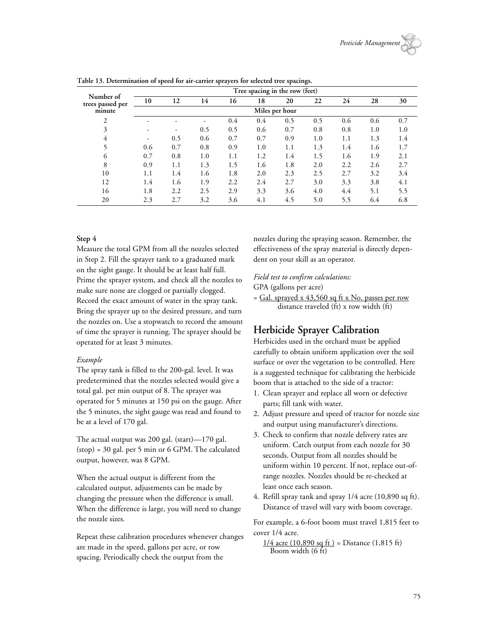|                               | Tree spacing in the row (feet) |     |     |     |     |     |     |     |     |     |
|-------------------------------|--------------------------------|-----|-----|-----|-----|-----|-----|-----|-----|-----|
| Number of<br>trees passed per | 10                             | 12  | 14  | 16  | 18  | 20  | 22  | 24  | 28  | 30  |
| minute                        | Miles per hour                 |     |     |     |     |     |     |     |     |     |
| 2                             | ۰                              |     |     | 0.4 | 0.4 | 0.5 | 0.5 | 0.6 | 0.6 | 0.7 |
| 3                             |                                |     | 0.5 | 0.5 | 0.6 | 0.7 | 0.8 | 0.8 | 1.0 | 1.0 |
| 4                             | ۰                              | 0.5 | 0.6 | 0.7 | 0.7 | 0.9 | 1.0 | 1.1 | 1.3 | 1.4 |
|                               | 0.6                            | 0.7 | 0.8 | 0.9 | 1.0 | 1.1 | 1.3 | 1.4 | 1.6 | 1.7 |
| 6                             | 0.7                            | 0.8 | 1.0 | 1.1 | 1.2 | 1.4 | 1.5 | 1.6 | 1.9 | 2.1 |
| 8                             | 0.9                            | 1.1 | 1.3 | 1.5 | 1.6 | 1.8 | 2.0 | 2.2 | 2.6 | 2.7 |
| 10                            | 1.1                            | 1.4 | 1.6 | 1.8 | 2.0 | 2.3 | 2.5 | 2.7 | 3.2 | 3.4 |
| 12                            | 1.4                            | 1.6 | 1.9 | 2.2 | 2.4 | 2.7 | 3.0 | 3.3 | 3.8 | 4.1 |
| 16                            | 1.8                            | 2.2 | 2.5 | 2.9 | 3.3 | 3.6 | 4.0 | 4.4 | 5.1 | 5.5 |
| 20                            | 2.3                            | 2.7 | 3.2 | 3.6 | 4.1 | 4.5 | 5.0 | 5.5 | 6.4 | 6.8 |

**Table 13. Determination of speed for air-carrier sprayers for selected tree spacings.**

### **Step 4**

Measure the total GPM from all the nozzles selected in Step 2. Fill the sprayer tank to a graduated mark on the sight gauge. It should be at least half full. Prime the sprayer system, and check all the nozzles to make sure none are clogged or partially clogged. Record the exact amount of water in the spray tank. Bring the sprayer up to the desired pressure, and turn the nozzles on. Use a stopwatch to record the amount of time the sprayer is running. The sprayer should be operated for at least 3 minutes.

### *Example*

The spray tank is filled to the 200-gal. level. It was predetermined that the nozzles selected would give a total gal. per min output of 8. The sprayer was operated for 5 minutes at 150 psi on the gauge. After the 5 minutes, the sight gauge was read and found to be at a level of 170 gal.

The actual output was 200 gal. (start)—170 gal. (stop) = 30 gal. per 5 min or 6 GPM. The calculated output, however, was 8 GPM.

When the actual output is different from the calculated output, adjustments can be made by changing the pressure when the difference is small. When the difference is large, you will need to change the nozzle sizes*.*

Repeat these calibration procedures whenever changes are made in the speed, gallons per acre, or row spacing. Periodically check the output from the

nozzles during the spraying season. Remember, the effectiveness of the spray material is directly dependent on your skill as an operator.

### *Field test to confirm calculations:*

GPA (gallons per acre)

 $=$  Gal. sprayed x 43,560 sq ft x No. passes per row distance traveled (ft) x row width (ft)

# **Herbicide Sprayer Calibration**

Herbicides used in the orchard must be applied carefully to obtain uniform application over the soil surface or over the vegetation to be controlled. Here is a suggested technique for calibrating the herbicide boom that is attached to the side of a tractor:

- 1. Clean sprayer and replace all worn or defective parts; fill tank with water.
- 2. Adjust pressure and speed of tractor for nozzle size and output using manufacturer's directions.
- 3. Check to confirm that nozzle delivery rates are uniform. Catch output from each nozzle for 30 seconds. Output from all nozzles should be uniform within 10 percent. If not, replace out-ofrange nozzles. Nozzles should be re-checked at least once each season.
- 4. Refill spray tank and spray 1/4 acre (10,890 sq ft). Distance of travel will vary with boom coverage.

For example, a 6-foot boom must travel 1,815 feet to cover 1/4 acre.

 $1/4$  acre (10,890 sq ft) = Distance (1,815 ft) Boom width (6 ft)